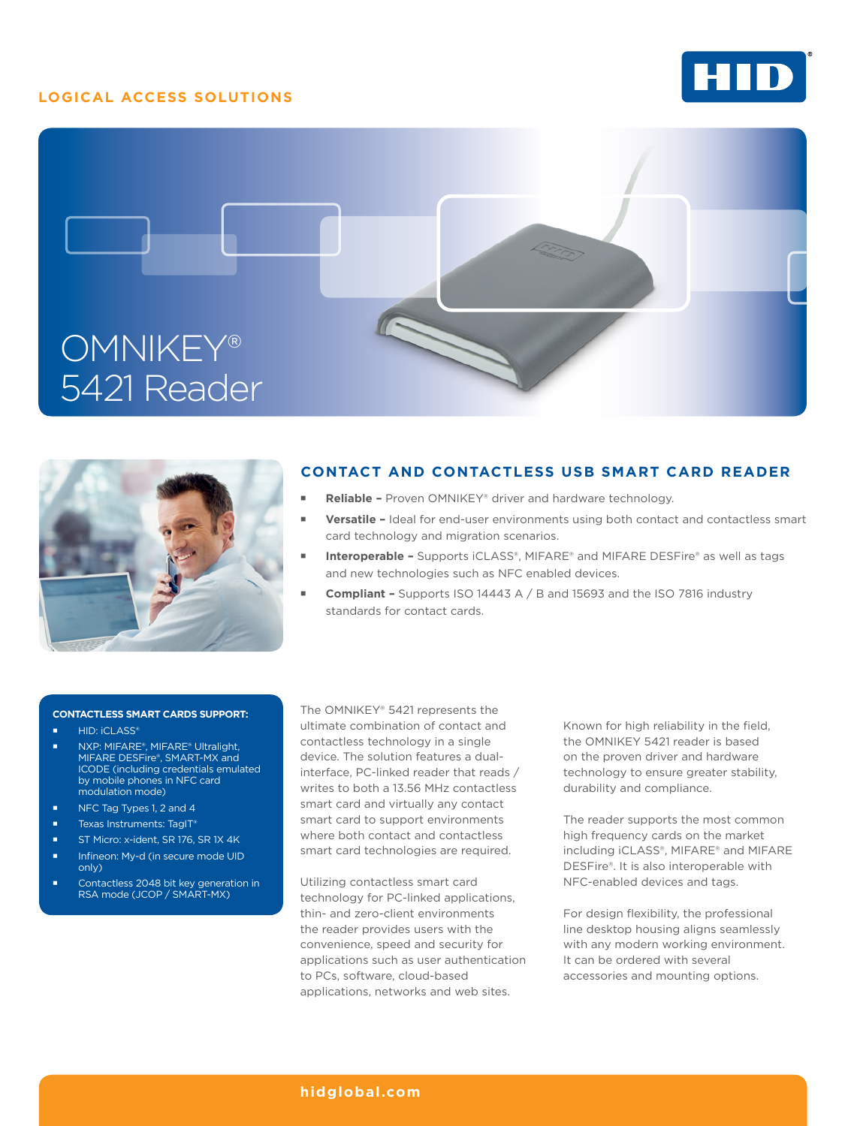## **LOGICAL ACCESS SOLUTIONS**







## **CONTACT AND CONTACTLESS USB SMART CARD READER**

- **Reliable** Proven OMNIKEY® driver and hardware technology.
- **Versatile -** Ideal for end-user environments using both contact and contactless smart card technology and migration scenarios.
- **Interoperable** Supports iCLASS®, MIFARE® and MIFARE DESFire® as well as tags and new technologies such as NFC enabled devices.
- **Compliant** Supports ISO 14443 A / B and 15693 and the ISO 7816 industry standards for contact cards.

#### **CONTACTLESS SMART CARDS SUPPORT:**

- **HID: iCLASS®**
- NXP: MIFARE®, MIFARE® Ultralight, MIFARE DESFire®, SMART-MX and ICODE (including credentials emulated by mobile phones in NFC card modulation mode)
- NFC Tag Types 1, 2 and 4
- Texas Instruments: TagIT®
- ST Micro: x-ident, SR 176, SR 1X 4K
- Infineon: My-d (in secure mode UID only)
- Contactless 2048 bit key generation in RSA mode (JCOP / SMART-MX)

The OMNIKEY® 5421 represents the ultimate combination of contact and contactless technology in a single device. The solution features a dualinterface, PC-linked reader that reads / writes to both a 13.56 MHz contactless smart card and virtually any contact smart card to support environments where both contact and contactless smart card technologies are required.

Utilizing contactless smart card technology for PC-linked applications, thin- and zero-client environments the reader provides users with the convenience, speed and security for applications such as user authentication to PCs, software, cloud-based applications, networks and web sites.

Known for high reliability in the field, the OMNIKEY 5421 reader is based on the proven driver and hardware technology to ensure greater stability, durability and compliance.

The reader supports the most common high frequency cards on the market including iCLASS®, MIFARE® and MIFARE DESFire®. It is also interoperable with NFC-enabled devices and tags.

For design flexibility, the professional line desktop housing aligns seamlessly with any modern working environment. It can be ordered with several accessories and mounting options.